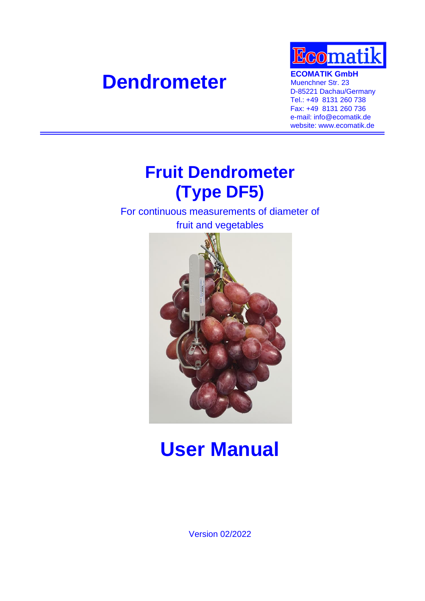# **Dendrometer ECOMATIK GmbH**<br> **Muenchner Str. 23**



Muenchner Str. 23 D-85221 Dachau/Germany Tel.: +49 8131 260 738 Fax: +49 8131 260 736 e-mail: info@ecomatik.de website: www.ecomatik.de

# **Fruit Dendrometer (Type DF5)**

For continuous measurements of diameter of fruit and vegetables



# **User Manual**

Version 02/2022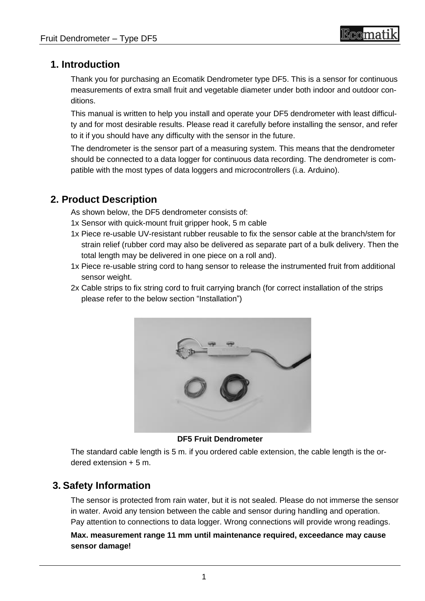# **1. Introduction**

Thank you for purchasing an Ecomatik Dendrometer type DF5. This is a sensor for continuous measurements of extra small fruit and vegetable diameter under both indoor and outdoor conditions.

This manual is written to help you install and operate your DF5 dendrometer with least difficulty and for most desirable results. Please read it carefully before installing the sensor, and refer to it if you should have any difficulty with the sensor in the future.

The dendrometer is the sensor part of a measuring system. This means that the dendrometer should be connected to a data logger for continuous data recording. The dendrometer is compatible with the most types of data loggers and microcontrollers (i.a. Arduino).

# **2. Product Description**

As shown below, the DF5 dendrometer consists of:

- 1x Sensor with quick-mount fruit gripper hook, 5 m cable
- 1x Piece re-usable UV-resistant rubber reusable to fix the sensor cable at the branch/stem for strain relief (rubber cord may also be delivered as separate part of a bulk delivery. Then the total length may be delivered in one piece on a roll and).
- 1x Piece re-usable string cord to hang sensor to release the instrumented fruit from additional sensor weight.
- 2x Cable strips to fix string cord to fruit carrying branch (for correct installation of the strips please refer to the below section "Installation")



**DF5 Fruit Dendrometer**

The standard cable length is 5 m. if you ordered cable extension, the cable length is the ordered extension + 5 m.

# **3. Safety Information**

The sensor is protected from rain water, but it is not sealed. Please do not immerse the sensor in water. Avoid any tension between the cable and sensor during handling and operation. Pay attention to connections to data logger. Wrong connections will provide wrong readings.

**Max. measurement range 11 mm until maintenance required, exceedance may cause sensor damage!**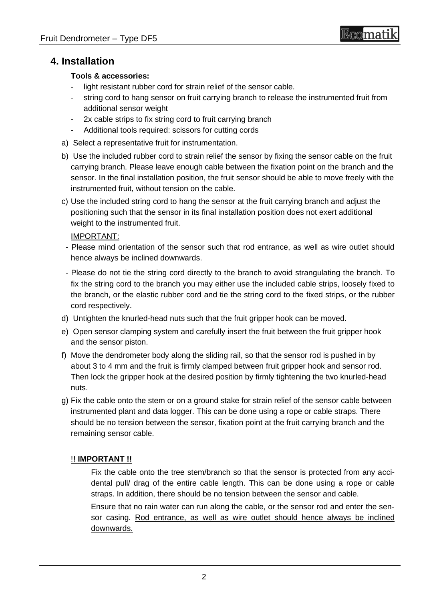### **4. Installation**

#### **Tools & accessories:**

- light resistant rubber cord for strain relief of the sensor cable.
- string cord to hang sensor on fruit carrying branch to release the instrumented fruit from additional sensor weight
- 2x cable strips to fix string cord to fruit carrying branch
- Additional tools required: scissors for cutting cords
- a) Select a representative fruit for instrumentation.
- b) Use the included rubber cord to strain relief the sensor by fixing the sensor cable on the fruit carrying branch. Please leave enough cable between the fixation point on the branch and the sensor. In the final installation position, the fruit sensor should be able to move freely with the instrumented fruit, without tension on the cable.
- c) Use the included string cord to hang the sensor at the fruit carrying branch and adjust the positioning such that the sensor in its final installation position does not exert additional weight to the instrumented fruit.

#### IMPORTANT:

- Please mind orientation of the sensor such that rod entrance, as well as wire outlet should hence always be inclined downwards.
- Please do not tie the string cord directly to the branch to avoid strangulating the branch. To fix the string cord to the branch you may either use the included cable strips, loosely fixed to the branch, or the elastic rubber cord and tie the string cord to the fixed strips, or the rubber cord respectively.
- d) Untighten the knurled-head nuts such that the fruit gripper hook can be moved.
- e) Open sensor clamping system and carefully insert the fruit between the fruit gripper hook and the sensor piston.
- f) Move the dendrometer body along the sliding rail, so that the sensor rod is pushed in by about 3 to 4 mm and the fruit is firmly clamped between fruit gripper hook and sensor rod. Then lock the gripper hook at the desired position by firmly tightening the two knurled-head nuts.
- g) Fix the cable onto the stem or on a ground stake for strain relief of the sensor cable between instrumented plant and data logger. This can be done using a rope or cable straps. There should be no tension between the sensor, fixation point at the fruit carrying branch and the remaining sensor cable.

#### !**! IMPORTANT !!**

Fix the cable onto the tree stem/branch so that the sensor is protected from any accidental pull/ drag of the entire cable length. This can be done using a rope or cable straps. In addition, there should be no tension between the sensor and cable.

Ensure that no rain water can run along the cable, or the sensor rod and enter the sensor casing. Rod entrance, as well as wire outlet should hence always be inclined downwards.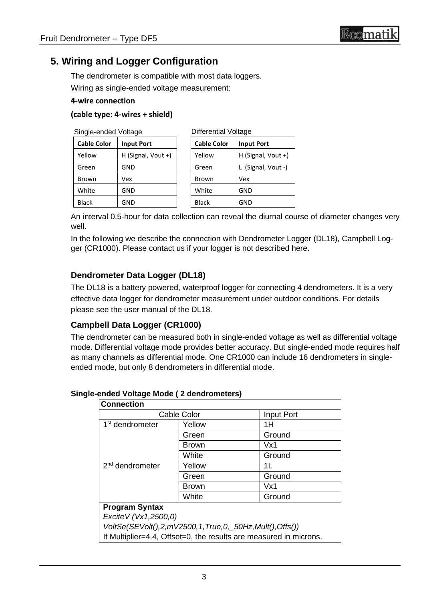# **5. Wiring and Logger Configuration**

The dendrometer is compatible with most data loggers.

Wiring as single-ended voltage measurement:

#### **4-wire connection**

#### **(cable type: 4-wires + shield)**

| Single-ended Voltage |                    | <b>Differential Voltage</b> |                    |
|----------------------|--------------------|-----------------------------|--------------------|
| <b>Cable Color</b>   | <b>Input Port</b>  | <b>Cable Color</b>          | <b>Input Port</b>  |
| Yellow               | H (Signal, Vout +) | Yellow                      | H (Signal, Vout +) |
| Green                | GND                | Green                       | (Signal, Vout -)   |
| Brown                | Vex                | <b>Brown</b>                | Vex                |
| White                | GND                | White                       | GND                |
| <b>Black</b>         | GND                | <b>Black</b>                | GND                |

An interval 0.5-hour for data collection can reveal the diurnal course of diameter changes very well.

In the following we describe the connection with Dendrometer Logger (DL18), Campbell Logger (CR1000). Please contact us if your logger is not described here.

### **Dendrometer Data Logger (DL18)**

The DL18 is a battery powered, waterproof logger for connecting 4 dendrometers. It is a very effective data logger for dendrometer measurement under outdoor conditions. For details please see the user manual of the DL18.

#### **Campbell Data Logger (CR1000)**

The dendrometer can be measured both in single-ended voltage as well as differential voltage mode. Differential voltage mode provides better accuracy. But single-ended mode requires half as many channels as differential mode. One CR1000 can include 16 dendrometers in singleended mode, but only 8 dendrometers in differential mode.

| ended voltage mode (2 dendrometers) |              |                                                                   |
|-------------------------------------|--------------|-------------------------------------------------------------------|
| <b>Connection</b>                   |              |                                                                   |
| <b>Cable Color</b>                  |              | Input Port                                                        |
| 1 <sup>st</sup> dendrometer         | Yellow       | 1H                                                                |
|                                     | Green        | Ground                                                            |
|                                     | <b>Brown</b> | Vx1                                                               |
|                                     | White        | Ground                                                            |
| 2 <sup>nd</sup> dendrometer         | Yellow       | 1L                                                                |
|                                     | Green        | Ground                                                            |
|                                     | <b>Brown</b> | Vx1                                                               |
|                                     | White        | Ground                                                            |
| <b>Program Syntax</b>               |              |                                                                   |
| Excite V (Vx1,2500,0)               |              |                                                                   |
|                                     |              | VoltSe(SEVolt(),2,mV2500,1,True,0,_50Hz,Mult(),Offs())            |
|                                     |              | If Multiplier=4.4, Offset=0, the results are measured in microns. |

#### **Single-ended Voltage Mode ( 2 dendrometers)**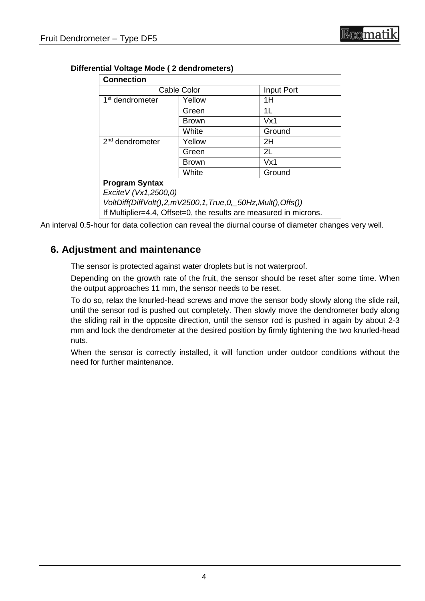| <b>Connection</b>           |                                                                   |            |  |  |  |
|-----------------------------|-------------------------------------------------------------------|------------|--|--|--|
| <b>Cable Color</b>          |                                                                   | Input Port |  |  |  |
| 1 <sup>st</sup> dendrometer | Yellow                                                            | 1H         |  |  |  |
|                             | Green                                                             | 1L         |  |  |  |
|                             | <b>Brown</b>                                                      | Vx1        |  |  |  |
|                             | White                                                             | Ground     |  |  |  |
| $2nd$ dendrometer           | Yellow                                                            | 2H         |  |  |  |
|                             | Green                                                             | 2L         |  |  |  |
|                             | <b>Brown</b>                                                      | Vx1        |  |  |  |
|                             | White                                                             | Ground     |  |  |  |
| <b>Program Syntax</b>       |                                                                   |            |  |  |  |
| Excite V (Vx1,2500,0)       |                                                                   |            |  |  |  |
|                             | VoltDiff(DiffVolt(),2,mV2500,1,True,0,_50Hz,Mult(),Offs())        |            |  |  |  |
|                             | If Multiplier=4.4, Offset=0, the results are measured in microns. |            |  |  |  |

#### **Differential Voltage Mode ( 2 dendrometers)**

An interval 0.5-hour for data collection can reveal the diurnal course of diameter changes very well.

### **6. Adjustment and maintenance**

The sensor is protected against water droplets but is not waterproof.

Depending on the growth rate of the fruit, the sensor should be reset after some time. When the output approaches 11 mm, the sensor needs to be reset.

To do so, relax the knurled-head screws and move the sensor body slowly along the slide rail, until the sensor rod is pushed out completely. Then slowly move the dendrometer body along the sliding rail in the opposite direction, until the sensor rod is pushed in again by about 2-3 mm and lock the dendrometer at the desired position by firmly tightening the two knurled-head nuts.

When the sensor is correctly installed, it will function under outdoor conditions without the need for further maintenance.